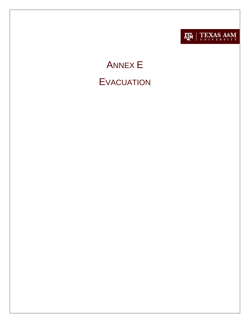

# **ANNEX E EVACUATION**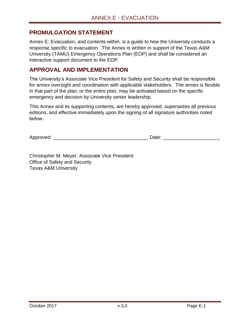#### <span id="page-1-0"></span>**PROMULGATION STATEMENT**

Annex E: Evacuation, and contents within, is a guide to how the University conducts a response specific to evacuation. The Annex is written in support of the Texas A&M University (TAMU) Emergency Operations Plan (EOP) and shall be considered an interactive support document to the EOP.

#### <span id="page-1-1"></span>**APPROVAL AND IMPLEMENTATION**

The University's Associate Vice President for Safety and Security shall be responsible for annex oversight and coordination with applicable stakeholders. The annex is flexible in that part of the plan, or the entire plan, may be activated based on the specific emergency and decision by University senior leadership.

This Annex and its supporting contents, are hereby approved, supersedes all previous editions, and effective immediately upon the signing of all signature authorities noted below.

Approved:  $\Box$ 

Christopher M. Meyer, Associate Vice President Office of Safety and Security Texas A&M University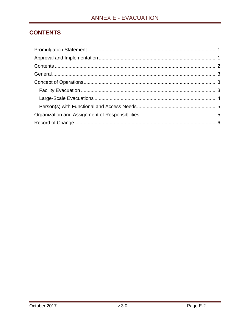# <span id="page-2-0"></span>**CONTENTS**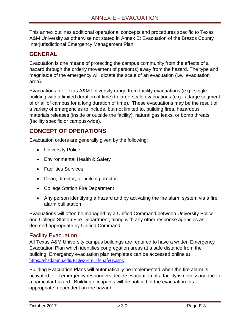This annex outlines additional operational concepts and procedures specific to Texas A&M University as otherwise not stated in Annex E: Evacuation of the Brazos County Interjurisdictional Emergency Management Plan.

## <span id="page-3-0"></span>**GENERAL**

Evacuation is one means of protecting the campus community from the effects of a hazard through the orderly movement of person(s) away from the hazard. The type and magnitude of the emergency will dictate the scale of an evacuation (i.e., evacuation area).

Evacuations for Texas A&M University range from facility evacuations (e.g., single building with a limited duration of time) to large-scale evacuations (e.g., a large segment of or all of campus for a long duration of time). These evacuations may be the result of a variety of emergencies to include, but not limited to, building fires, hazardous materials releases (inside or outside the facility), natural gas leaks, or bomb threats (facility specific or campus-wide).

## <span id="page-3-1"></span>**CONCEPT OF OPERATIONS**

Evacuation orders are generally given by the following:

- University Police
- Environmental Health & Safety
- **•** Facilities Services
- Dean, director, or building proctor
- College Station Fire Department
- Any person identifying a hazard and by activating the fire alarm system via a fire alarm pull station

Evacuations will often be managed by a Unified Command between University Police and College Station Fire Department, along with any other response agencies as deemed appropriate by Unified Command.

#### <span id="page-3-2"></span>Facility Evacuation

All Texas A&M University campus buildings are required to have a written Emergency Evacuation Plan which identifies congregation areas at a safe distance from the building. Emergency evacuation plan templates can be accessed online at <https://ehsd.tamu.edu/Pages/FireLifeSafety.aspx>.

Building Evacuation Plans will automatically be implemented when the fire alarm is activated, or if emergency responders decide evacuation of a facility is necessary due to a particular hazard. Building occupants will be notified of the evacuation, as appropriate, dependent on the hazard.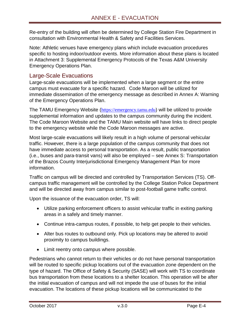Re-entry of the building will often be determined by College Station Fire Department in consultation with Environmental Health & Safety and Facilities Services.

Note: Athletic venues have emergency plans which include evacuation procedures specific to hosting indoor/outdoor events. More information about these plans is located in Attachment 3: Supplemental Emergency Protocols of the Texas A&M University Emergency Operations Plan.

### <span id="page-4-0"></span>Large-Scale Evacuations

Large-scale evacuations will be implemented when a large segment or the entire campus must evacuate for a specific hazard. Code Maroon will be utilized for immediate dissemination of the emergency message as described in Annex A: Warning of the Emergency Operations Plan.

The TAMU Emergency Website ([https://emergency.tamu.edu](https://emergency.tamu.edu/)) will be utilized to provide supplemental information and updates to the campus community during the incident. The Code Maroon Website and the TAMU Main website will have links to direct people to the emergency website while the Code Maroon messages are active.

Most large-scale evacuations will likely result in a high volume of personal vehicular traffic. However, there is a large population of the campus community that does not have immediate access to personal transportation. As a result, public transportation (i.e., buses and para-transit vans) will also be employed – see Annex S: Transportation of the Brazos County Interjurisdictional Emergency Management Plan for more information.

Traffic on campus will be directed and controlled by Transportation Services (TS). Offcampus traffic management will be controlled by the College Station Police Department and will be directed away from campus similar to post-football game traffic control.

Upon the issuance of the evacuation order, TS will:

- Utilize parking enforcement officers to assist vehicular traffic in exiting parking areas in a safely and timely manner.
- Continue intra-campus routes, if possible, to help get people to their vehicles.
- Alter bus routes to outbound only. Pick up locations may be altered to avoid proximity to campus buildings.
- Limit reentry onto campus where possible.

Pedestrians who cannot return to their vehicles or do not have personal transportation will be routed to specific pickup locations out of the evacuation zone dependent on the type of hazard. The Office of Safety & Security (SASE) will work with TS to coordinate bus transportation from these locations to a shelter location. This operation will be after the initial evacuation of campus and will not impede the use of buses for the initial evacuation. The locations of these pickup locations will be communicated to the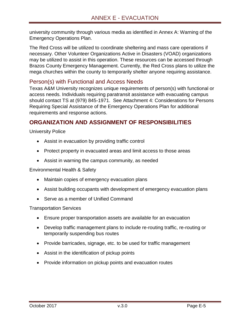university community through various media as identified in Annex A: Warning of the Emergency Operations Plan.

The Red Cross will be utilized to coordinate sheltering and mass care operations if necessary. Other Volunteer Organizations Active in Disasters (VOAD) organizations may be utilized to assist in this operation. These resources can be accessed through Brazos County Emergency Management. Currently, the Red Cross plans to utilize the mega churches within the county to temporarily shelter anyone requiring assistance.

#### <span id="page-5-0"></span>Person(s) with Functional and Access Needs

Texas A&M University recognizes unique requirements of person(s) with functional or access needs. Individuals requiring paratransit assistance with evacuating campus should contact TS at (979) 845-1971. See Attachment 4: Considerations for Persons Requiring Special Assistance of the Emergency Operations Plan for additional requirements and response actions.

## <span id="page-5-1"></span>**ORGANIZATION AND ASSIGNMENT OF RESPONSIBILITIES**

University Police

- Assist in evacuation by providing traffic control
- Protect property in evacuated areas and limit access to those areas
- Assist in warning the campus community, as needed

Environmental Health & Safety

- Maintain copies of emergency evacuation plans
- Assist building occupants with development of emergency evacuation plans
- Serve as a member of Unified Command

Transportation Services

- Ensure proper transportation assets are available for an evacuation
- Develop traffic management plans to include re-routing traffic, re-routing or temporarily suspending bus routes
- Provide barricades, signage, etc. to be used for traffic management
- Assist in the identification of pickup points
- Provide information on pickup points and evacuation routes